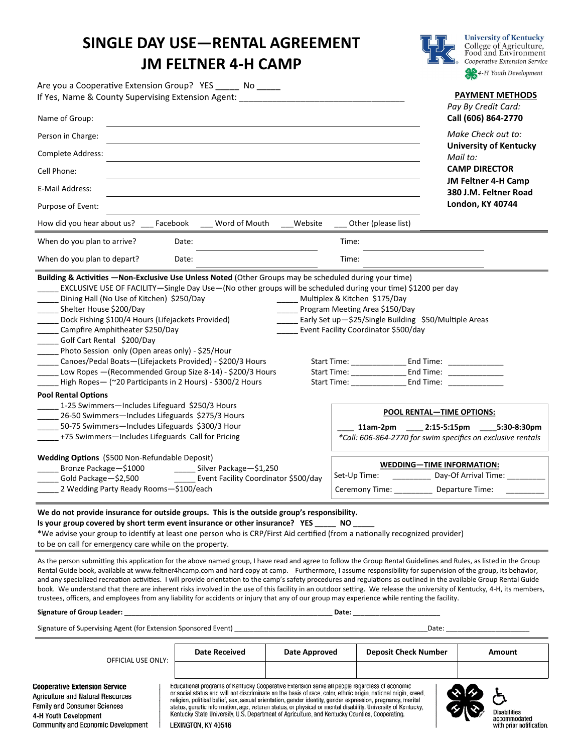## **SINGLE DAY USE—RENTAL AGREEMENT JM FELTNER 4-H CAMP**



**University of Kentucky** College of Agriculture,<br>Food and Environment Cooperative Extension Service 4-H Youth Development

| If Yes, Name & County Supervising Extension Agent:<br>Name of Group:                                                                                                                                                                                                                             |                                                                                                                                                                                                                                                                                                                                                                              | <b>PAYMENT METHODS</b><br>Pay By Credit Card:<br>Call (606) 864-2770 |
|--------------------------------------------------------------------------------------------------------------------------------------------------------------------------------------------------------------------------------------------------------------------------------------------------|------------------------------------------------------------------------------------------------------------------------------------------------------------------------------------------------------------------------------------------------------------------------------------------------------------------------------------------------------------------------------|----------------------------------------------------------------------|
| Person in Charge:                                                                                                                                                                                                                                                                                |                                                                                                                                                                                                                                                                                                                                                                              | Make Check out to:                                                   |
| Complete Address:                                                                                                                                                                                                                                                                                |                                                                                                                                                                                                                                                                                                                                                                              | <b>University of Kentucky</b><br>Mail to:<br><b>CAMP DIRECTOR</b>    |
| Cell Phone:<br>E-Mail Address:                                                                                                                                                                                                                                                                   |                                                                                                                                                                                                                                                                                                                                                                              | JM Feltner 4-H Camp<br>380 J.M. Feltner Road                         |
| Purpose of Event:                                                                                                                                                                                                                                                                                |                                                                                                                                                                                                                                                                                                                                                                              | <b>London, KY 40744</b>                                              |
| How did you hear about us? Facebook<br>Word of Mouth<br>Website                                                                                                                                                                                                                                  | Other (please list)                                                                                                                                                                                                                                                                                                                                                          |                                                                      |
| When do you plan to arrive?<br>Date:                                                                                                                                                                                                                                                             | Time:                                                                                                                                                                                                                                                                                                                                                                        |                                                                      |
| When do you plan to depart?<br>Date:                                                                                                                                                                                                                                                             | Time:                                                                                                                                                                                                                                                                                                                                                                        |                                                                      |
| EXCLUSIVE USE OF FACILITY-Single Day Use-(No other groups will be scheduled during your time) \$1200 per day<br>Dining Hall (No Use of Kitchen) \$250/Day<br>Shelter House \$200/Day                                                                                                             | Multiplex & Kitchen \$175/Day<br>Program Meeting Area \$150/Day                                                                                                                                                                                                                                                                                                              |                                                                      |
| Dock Fishing \$100/4 Hours (Lifejackets Provided)<br>Campfire Amphitheater \$250/Day<br>Golf Cart Rental \$200/Day<br>Photo Session only (Open areas only) - \$25/Hour<br>Canoes/Pedal Boats-(Lifejackets Provided) - \$200/3 Hours<br>Low Ropes - (Recommended Group Size 8-14) - \$200/3 Hours | Early Set up-\$25/Single Building \$50/Multiple Areas<br>Event Facility Coordinator \$500/day<br>Start Time: End Time:<br>Start Time: 1997<br>End Time: The Second Second Second Second Second Second Second Second Second Second Second Second Second Second Second Second Second Second Second Second Second Second Second Second Second Second Second Second Second Secon |                                                                      |
| High Ropes - (~20 Participants in 2 Hours) - \$300/2 Hours<br><b>Pool Rental Options</b>                                                                                                                                                                                                         | Start Time: The Start Time:<br>End Time: The Second Second Second Second Second Second Second Second Second Second Second Second Second Second Second Second Second Second Second Second Second Second Second Second Second Second Second Second Second Secon                                                                                                                |                                                                      |
| 1-25 Swimmers-Includes Lifeguard \$250/3 Hours<br>26-50 Swimmers-Includes Lifeguards \$275/3 Hours<br>50-75 Swimmers-Includes Lifeguards \$300/3 Hour<br>+75 Swimmers-Includes Lifeguards Call for Pricing                                                                                       | <b>POOL RENTAL-TIME OPTIONS:</b><br>11am-2pm<br>*Call: 606-864-2770 for swim specifics on exclusive rentals                                                                                                                                                                                                                                                                  | 2:15-5:15pm 5:30-8:30pm                                              |

**We do not provide insurance for outside groups. This is the outside group's responsibility. Is your group covered by short term event insurance or other insurance? YES \_\_\_\_\_ NO \_\_\_\_\_**

\*We advise your group to identify at least one person who is CRP/First Aid certified (from a nationally recognized provider) to be on call for emergency care while on the property.

As the person submitting this application for the above named group, I have read and agree to follow the Group Rental Guidelines and Rules, as listed in the Group Rental Guide book, available at www.feltner4hcamp.com and hard copy at camp. Furthermore, I assume responsibility for supervision of the group, its behavior, and any specialized recreation activities. I will provide orientation to the camp's safety procedures and regulations as outlined in the available Group Rental Guide book. We understand that there are inherent risks involved in the use of this facility in an outdoor setting. We release the university of Kentucky, 4-H, its members, trustees, officers, and employees from any liability for accidents or injury that any of our group may experience while renting the facility.

**Signature of Group Leader: \_\_\_\_\_\_\_\_\_\_\_\_\_\_\_\_\_\_\_\_\_\_\_\_\_\_\_\_\_\_\_\_\_\_\_\_\_\_\_\_\_\_\_\_\_\_\_\_\_\_\_\_\_\_\_ Date: \_\_\_\_\_\_\_\_\_\_\_\_\_\_\_\_\_\_\_\_\_\_\_**

Signature of Supervising Agent (for Extension Sponsored Event) \_\_\_\_\_\_\_\_\_\_\_\_\_\_\_\_\_\_\_\_\_\_\_\_\_\_\_\_\_\_\_\_\_\_\_\_\_\_\_\_\_\_\_\_\_\_\_\_\_\_\_Date: \_\_\_\_\_\_\_\_\_\_\_\_\_\_\_\_\_\_\_\_\_\_

| OFFICIAL USE ONLY:                                                                                                                                                              | Date Received                                                                                                                                                                                                                                                                                                                                                                                                                                                                                                                                                           | Date Approved | <b>Deposit Check Number</b> | Amount                                                          |
|---------------------------------------------------------------------------------------------------------------------------------------------------------------------------------|-------------------------------------------------------------------------------------------------------------------------------------------------------------------------------------------------------------------------------------------------------------------------------------------------------------------------------------------------------------------------------------------------------------------------------------------------------------------------------------------------------------------------------------------------------------------------|---------------|-----------------------------|-----------------------------------------------------------------|
| <b>Cooperative Extension Service</b><br><b>Agriculture and Natural Resources</b><br>Family and Consumer Sciences<br>4-H Youth Development<br>Community and Economic Development | Educational programs of Kentucky Cooperative Extension serve all people regardless of economic<br>or social status and will not discriminate on the basis of race, color, ethnic origin, national origin, creed,<br>religion, political belief, sex, sexual orientation, gender identity, gender expression, pregnancy, marital<br>status, genetic information, age, veteran status, or physical or mental disability. University of Kentucky,<br>Kentucky State University, U.S. Department of Agriculture, and Kentucky Counties, Cooperating.<br>LEXINGTON, KY 40546 |               |                             | <b>Disabilities</b><br>accommodated<br>with prior notification. |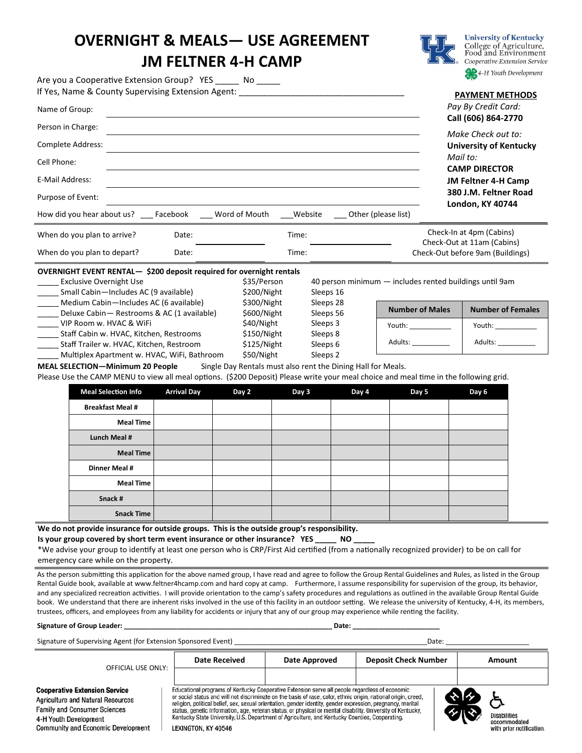## **OVERNIGHT & MEALS— USE AGREEMENT JM FELTNER 4-H CAMP**

Are you a Cooperative Extension Group? YES \_\_\_\_\_ No \_\_\_\_\_



**University of Kentucky** College of Agriculture,<br>Food and Environment Cooperative Extension Service 4-H Youth Development

| If Yes, Name & County Supervising Extension Agent:<br>Name of Group:                                                                                                                                                                                                                                                                                                                                                  |                            |                        |                                                         | <b>PAYMENT METHODS</b><br>Pay By Credit Card:<br>Call (606) 864-2770                                                                                                      |  |
|-----------------------------------------------------------------------------------------------------------------------------------------------------------------------------------------------------------------------------------------------------------------------------------------------------------------------------------------------------------------------------------------------------------------------|----------------------------|------------------------|---------------------------------------------------------|---------------------------------------------------------------------------------------------------------------------------------------------------------------------------|--|
| Person in Charge:<br>Complete Address:<br>Cell Phone:<br><b>E-Mail Address:</b><br>Purpose of Event:<br>How did you hear about us? Facebook                                                                                                                                                                                                                                                                           | Word of Mouth              | Website                | Other (please list)                                     | Make Check out to:<br><b>University of Kentucky</b><br>Mail to:<br><b>CAMP DIRECTOR</b><br><b>JM Feltner 4-H Camp</b><br>380 J.M. Feltner Road<br><b>London, KY 40744</b> |  |
| When do you plan to arrive?<br>Date:<br>When do you plan to depart?<br>Date:                                                                                                                                                                                                                                                                                                                                          | Time:<br>Time:             |                        |                                                         | Check-In at 4pm (Cabins)<br>Check-Out at 11am (Cabins)<br>Check-Out before 9am (Buildings)                                                                                |  |
| OVERNIGHT EVENT RENTAL- \$200 deposit required for overnight rentals<br><b>Exclusive Overnight Use</b><br>Small Cabin-Includes AC (9 available)                                                                                                                                                                                                                                                                       | \$35/Person<br>\$200/Night | Sleeps 16              | 40 person minimum - includes rented buildings until 9am |                                                                                                                                                                           |  |
| Medium Cabin-Includes AC (6 available)<br>Deluxe Cabin - Restrooms & AC (1 available)                                                                                                                                                                                                                                                                                                                                 | \$300/Night<br>\$600/Night | Sleeps 28<br>Sleeps 56 | <b>Number of Males</b>                                  | <b>Number of Females</b>                                                                                                                                                  |  |
| VIP Room w. HVAC & WiFi                                                                                                                                                                                                                                                                                                                                                                                               | \$40/Night                 | Sleeps 3               | Youth: ____________                                     |                                                                                                                                                                           |  |
| Staff Cabin w. HVAC, Kitchen, Restrooms<br>Staff Trailer w. HVAC, Kitchen, Restroom                                                                                                                                                                                                                                                                                                                                   | \$150/Night<br>\$125/Night | Sleeps 8<br>Sleeps 6   | Adults: ___________                                     | Adults: Andrew March 2014                                                                                                                                                 |  |
| \$50/Night<br>Multiplex Apartment w. HVAC, WiFi, Bathroom<br>Sleeps 2<br><b>MEAL SELECTION-Minimum 20 People</b><br>Single Day Rentals must also rent the Dining Hall for Meals.<br>Please Use the CAMP MENU to view all meal options. (\$200 Deposit) Please write your meal choice and meal time in the following grid.<br>Maal Calastian Info<br>Arrival Day<br>$D_{21}$<br>$D_{21}$<br>Dou E<br>$D_{21}$<br>Day C |                            |                        |                                                         |                                                                                                                                                                           |  |

| <b>Meal Selection Info</b> | <b>Arrival Day</b> | Day 2 | Day 3 | Day 4 | Day 5 | Day 6 |
|----------------------------|--------------------|-------|-------|-------|-------|-------|
| <b>Breakfast Meal#</b>     |                    |       |       |       |       |       |
| <b>Meal Time</b>           |                    |       |       |       |       |       |
| Lunch Meal #               |                    |       |       |       |       |       |
| <b>Meal Time</b>           |                    |       |       |       |       |       |
| Dinner Meal #              |                    |       |       |       |       |       |
| <b>Meal Time</b>           |                    |       |       |       |       |       |
| Snack #                    |                    |       |       |       |       |       |
| <b>Snack Time</b>          |                    |       |       |       |       |       |

**We do not provide insurance for outside groups. This is the outside group's responsibility.** 

**Is your group covered by short term event insurance or other insurance? YES \_\_\_\_\_ NO \_\_\_\_\_**

\*We advise your group to identify at least one person who is CRP/First Aid certified (from a nationally recognized provider) to be on call for emergency care while on the property.

As the person submitting this application for the above named group, I have read and agree to follow the Group Rental Guidelines and Rules, as listed in the Group Rental Guide book, available at www.feltner4hcamp.com and hard copy at camp. Furthermore, I assume responsibility for supervision of the group, its behavior, and any specialized recreation activities. I will provide orientation to the camp's safety procedures and regulations as outlined in the available Group Rental Guide book. We understand that there are inherent risks involved in the use of this facility in an outdoor setting. We release the university of Kentucky, 4-H, its members, trustees, officers, and employees from any liability for accidents or injury that any of our group may experience while renting the facility.

**Signature of Group Leader: \_\_\_\_\_\_\_\_\_\_\_\_\_\_\_\_\_\_\_\_\_\_\_\_\_\_\_\_\_\_\_\_\_\_\_\_\_\_\_\_\_\_\_\_\_\_\_\_\_\_\_\_\_\_\_ Date: \_\_\_\_\_\_\_\_\_\_\_\_\_\_\_\_\_\_\_\_\_\_\_**

Signature of Supervising Agent (for Extension Sponsored Event) \_\_\_\_\_\_\_\_\_\_\_\_\_\_\_\_\_\_\_\_\_\_\_\_\_\_\_\_\_\_\_\_\_\_\_\_\_\_\_\_\_\_\_\_\_\_\_\_\_\_\_Date: \_\_\_\_\_\_\_\_\_\_\_\_\_\_\_\_\_\_\_\_\_\_

| OFFICIAL USE ONLY:                                                                                                                                                                     | <b>Date Received</b>                                                                                                                                                                                                                                                                                                                                                                                                                                                                                                                                                    | Date Approved | <b>Deposit Check Number</b> | Amount                                                          |
|----------------------------------------------------------------------------------------------------------------------------------------------------------------------------------------|-------------------------------------------------------------------------------------------------------------------------------------------------------------------------------------------------------------------------------------------------------------------------------------------------------------------------------------------------------------------------------------------------------------------------------------------------------------------------------------------------------------------------------------------------------------------------|---------------|-----------------------------|-----------------------------------------------------------------|
| <b>Cooperative Extension Service</b><br><b>Agriculture and Natural Resources</b><br><b>Family and Consumer Sciences</b><br>4-H Youth Development<br>Community and Economic Development | Educational programs of Kentucky Cooperative Extension serve all people regardless of economic<br>or social status and will not discriminate on the basis of race, color, ethnic origin, national origin, creed,<br>religion, political belief, sex, sexual orientation, gender identity, gender expression, pregnancy, marital<br>status, genetic information, age, veteran status, or physical or mental disability. University of Kentucky,<br>Kentucky State University, U.S. Department of Agriculture, and Kentucky Counties, Cooperating.<br>LEXINGTON, KY 40546 |               |                             | <b>Disabilities</b><br>accommodated<br>with prior notification. |